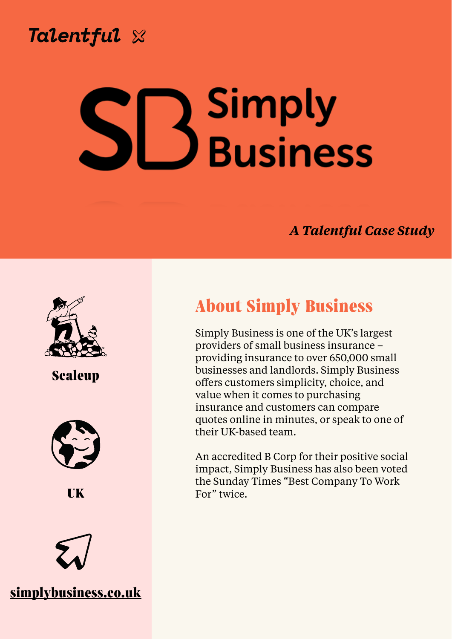

# **Simply Chris Wilkinson, Business Director of People**







#### *A Talentful Case Study*



**About Simply Business** 

Simply Business is one of the UK's largest providers of small business insurance – providing insurance to over 650,000 small businesses and landlords. Simply Business offers customers simplicity, choice, and value when it comes to purchasing insurance and customers can compare quotes online in minutes, or speak to one of their UK-based team.

An accredited B Corp for their positive social impact, Simply Business has also been voted the Sunday Times "Best Company To Work





## **Scaleup**



**UK**

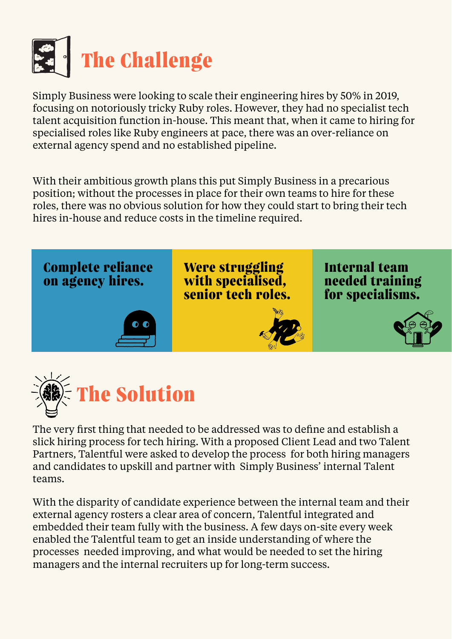

Simply Business were looking to scale their engineering hires by 50% in 2019, focusing on notoriously tricky Ruby roles. However, they had no specialist tech talent acquisition function in-house. This meant that, when it came to hiring for specialised roles like Ruby engineers at pace, there was an over-reliance on external agency spend and no established pipeline.

With their ambitious growth plans this put Simply Business in a precarious position; without the processes in place for their own teams to hire for these roles, there was no obvious solution for how they could start to bring their tech hires in-house and reduce costs in the timeline required.



Were struggling **with specialised, senior tech roles.**

The very first thing that needed to be addressed was to define and establish a slick hiring process for tech hiring. With a proposed Client Lead and two Talent Partners, Talentful were asked to develop the process for both hiring managers and candidates to upskill and partner with Simply Business' internal Talent teams.

With the disparity of candidate experience between the internal team and their external agency rosters a clear area of concern, Talentful integrated and embedded their team fully with the business. A few days on-site every week enabled the Talentful team to get an inside understanding of where the processes needed improving, and what would be needed to set the hiring managers and the internal recruiters up for long-term success.

### **Complete reliance on agency hires.**

**Internal team needed training for specialisms.**